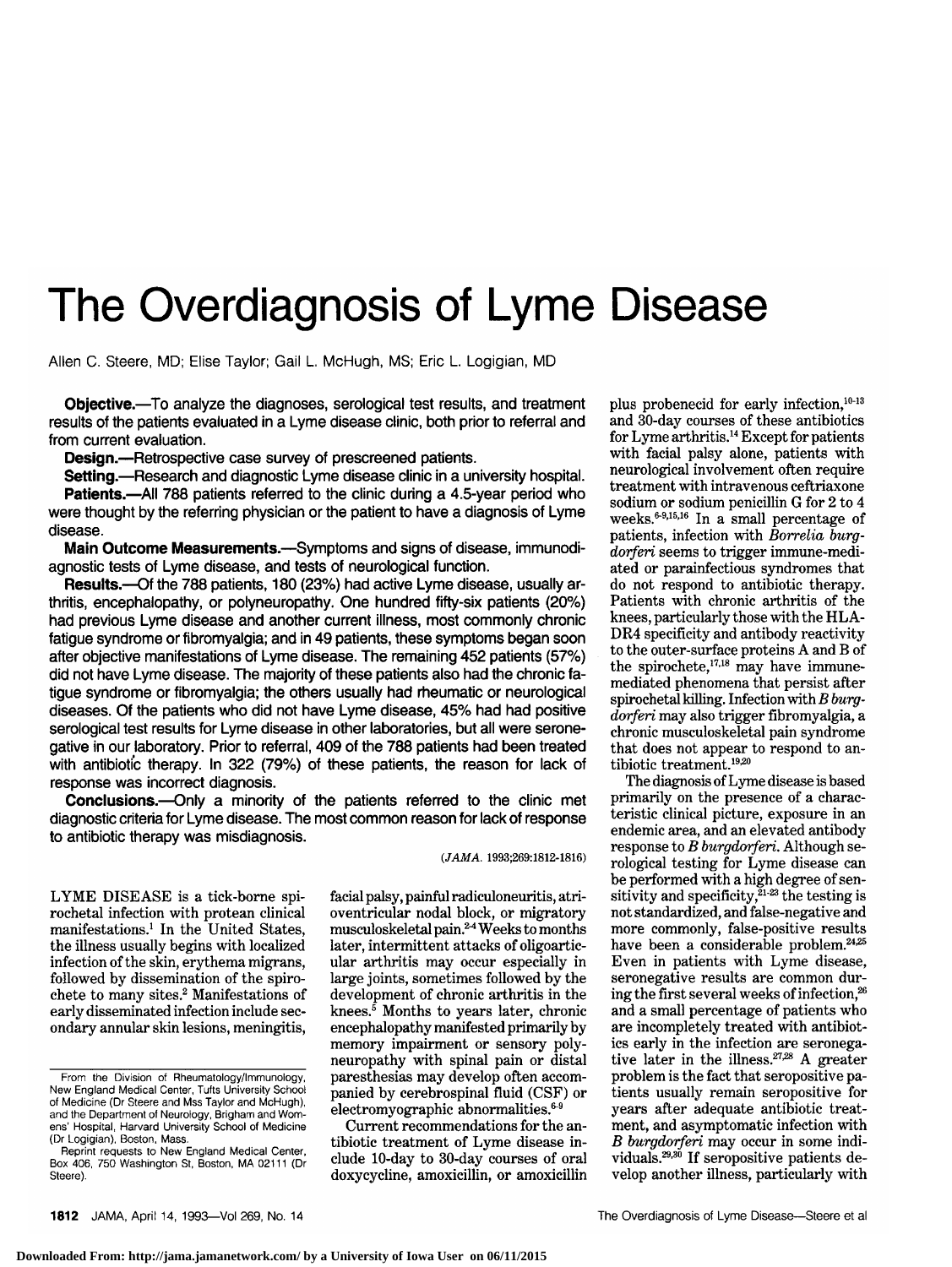# The Overdiagnosis of Lyme Disease

Allen C. Steere, MD; Elise Taylor; Gail L. McHugh, MS; Eric L. Logigian, MD

Objective.<sup>-To</sup> analyze the diagnoses, serological test results, and treatment results of the patients evaluated in a Lyme disease clinic, both prior to referral and from current evaluation.

Design.--Retrospective case survey of prescreened patients.

Setting.--Research and diagnostic Lyme disease clinic in a university hospital. **Patients.**—All 788 patients referred to the clinic during a 4.5-year period who were thought by the referring physician or the patient to have a diagnosis of Lyme disease.

Main Outcome Measurements.-Symptoms and signs of disease, immunodiagnostic tests of Lyme disease, and tests of neurological function.

Results.-- Of the 788 patients, 180 (23%) had active Lyme disease, usually arthritis, encephalopathy, or polyneuropathy. One hundred fifty-six patients (20%) had previous Lyme disease and another current illness, most commonly chronic fatigue syndrome or fibromyalgia; and in 49 patients, these symptoms began soon after objective manifestations of Lyme disease. The remaining 452 patients (57%) did not have Lyme disease. The majority of these patients also had the chronic fatigue syndrome or fibromyalgia; the others usually had rheumatic or neurological diseases. Of the patients who did not have Lyme disease, 45% had had positive serological test results for Lyme disease in other laboratories, but all were seronegative in our laboratory. Prior to referral, 409 of the 788 patients had been treated with antibiotic therapy. In 322 (79%) of these patients, the reason for lack of response was incorrect diagnosis.

Conclusions.-- Only a minority of the patients referred to the clinic met diagnostic criteria for Lyme disease. The most common reason for lack of response to antibiotic therapy was misdiagnosis.

(JAMA. 1993;269:1812-1816)

LYME DISEASE is <sup>a</sup> tick-borne spirochetal infection with protean clinical manifestations.1 In the United States, the illness usually begins with localized infection of the skin, erythema migrans, followed by dissemination of the spirochete to many sites.2 Manifestations of early disseminated infection include secondary annular skin lesions, meningitis, facial palsy, painful radiculoneuritis, atrioventricular nodal block, or migratory musculoskeletal pain.<sup>24</sup> Weeks to months later, intermittent attacks of oligoarticular arthritis may occur especially in large joints, sometimes followed by the development of chronic arthritis in the knees. $5$  Months to years later, chronic encephalopathy manifested primarily by memory impairment or sensory polyneuropathy with spinal pain or distal paresthesias may develop often accom panied by cerebrospinal fluid (CSF) or  $electromyographic$  abnormalities. $69$ 

Current recommendations for the an tibiotic treatment of Lyme disease in clude 10-day to 30-day courses of oral doxycycline, amoxicillin, or amoxicillin plus probenecid for early infection,<sup>10-13</sup> and 30-day courses of these antibiotics for Lyme arthritis.14 Except for patients with facial palsy alone, patients with neurological involvement often require treatment with intravenous ceftriaxone sodium or sodium penicillin <sup>G</sup> for <sup>2</sup> to <sup>4</sup> weeks. $6-9,15,16$  In a small percentage of patients, infection with Borrelia burgdorferi seems to trigger immune-mediated or parainfectious syndromes that do not respond to antibiotic therapy. Patients with chronic arthritis of the knees, particularly those with the HLA-DR4 specificity and antibody reactivity to the outer-surface proteins A and B of the spirochete, $^{17,18}$  may have immunemediated phenomena that persist after spirochetal killing. Infection with  $B$  burgdorferi may also trigger fibromyalgia, <sup>a</sup> chronic musculoskeletal pain syndrome that does not appear to respond to an tibiotic treatment.19·20

The diagnosis ofLyme disease is based primarily on the presence of a characteristic clinical picture, exposure in an endemic area, and an elevated antibody response to *B* burgdorferi. Although serological testing for Lyme disease can be performed with a high degree of sensitivity and specificity, $\frac{z_1}{z_2}$  the testing is not standardized, and false-negative and more commonly, false-positive results have been a considerable problem.<sup>24,25</sup> Even in patients with Lyme disease, seronegative results are common during the first several weeks of infection,<sup>26</sup> and <sup>a</sup> small percentage of patients who are incompletely treated with antibiotics early in the infection are seronegative later in the illness.<sup>27,28</sup> A greater problem is the fact that seropositive pa tients usually remain seropositive for years after adequate antibiotic treatment, and asymptomatic infection with B burgdorferi may occur in some individuals.<sup>29,30</sup> If seropositive patients develop another illness, particularly with

From the Division of Rheumatology/Immunology, New England Medical Center, Tufts University School of Medicine (Dr Steere and Mss Taylor and McHugh), and the Department of Neurology, Brigham and Womens' Hospital, Harvard University School of Medicine (Dr Logigian), Boston, Mass.

Reprint requests to New England Medical Center, Box 406, 750 Washington St, Boston, MA 02111 (Dr Steere).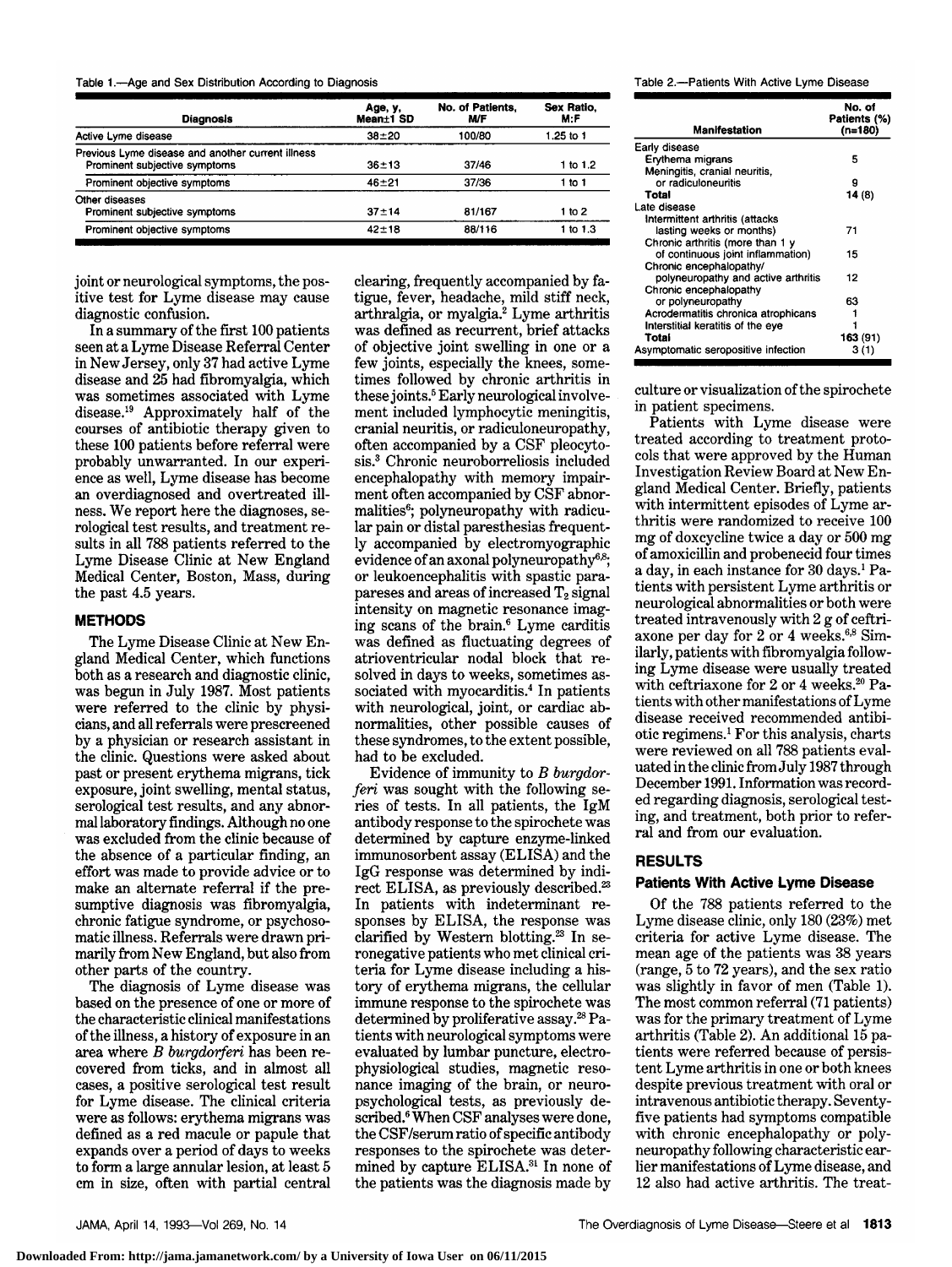| rological test results, and trea |  |  |  |  |  |
|----------------------------------|--|--|--|--|--|
|----------------------------------|--|--|--|--|--|

the past 4.5 years.

diagnostic confusion.

probably unwarranted. In our experience as well, Lyme disease has become an overdiagnosed and overtreated illness. We report here the diagnoses, serological test results. And the set  $r$ sults in all <sup>788</sup> patients referred to the Lyme Disease Clinic at New England Medical Center, Boston, Mass, during

Table 1.—Age and Sex Distribution According to Diagnosis

Prominent objective symptoms 42±18

nge, y,<br>Mean±1 SD

Active Lyme disease  $38 \pm 20$  100/80 1.25 to 1

Prominent subjective symptoms 36±13 37/46 1 to 1.2<br>
Prominent objective symptoms 46±21 37/36 1 to 1 Prominent objective symptoms  $46\pm 21$   $37/36$  1 to 1

Prominent subjective symptoms  $37 \pm 14$  81/167 1 to 2

Diagnosis

Previous Lyme disease and another current illness

joint or neurological symptoms, the positive test for Lyme disease may cause

In <sup>a</sup> summary of the first <sup>100</sup> patients seen at <sup>a</sup> Lyme Disease Referral Center in New Jersey, only 37 had active Lyme disease and 25 had fibromyalgia, which was sometimes associated with Lyme disease.19 Approximately half of the courses of antibiotic therapy given to these <sup>100</sup> patients before referral were

#### METHODS

Other diseases

The Lyme Disease Clinic at New En gland Medical Center, which functions both as <sup>a</sup> research and diagnostic clinic, was begun in July 1987. Most patients were referred to the clinic by physicians, and all referrals were prescreened by <sup>a</sup> physician or research assistant in the clinic. Questions were asked about past or present erythema migrans, tick exposure, joint swelling, mental status, serological test results, and any abnormal laboratory findings. Although no one was excluded from the clinic because of the absence of <sup>a</sup> particular finding, an effort was made to provide advice or to make an alternate referral if the presumptive diagnosis was fibromyalgia, chronic fatigue syndrome, or psychosomatic illness. Referrals were drawn pri marily from New England, but also from other parts of the country.

The diagnosis of Lyme disease was based on the presence of one or more of the characteristic clinical manifestations ofthe illness, <sup>a</sup> history of exposure in an area where  $B$  burgdorferi has been recovered from ticks, and in almost all cases, <sup>a</sup> positive serological test result for Lyme disease. The clinical criteria were as follows: erythema migrans was defined as <sup>a</sup> red macule or papule that expands over <sup>a</sup> period of days to weeks to form <sup>a</sup> large annular lesion, at least <sup>5</sup> cm in size, often with partial central

clearing, frequently accompanied by fatigue, fever, headache, mild stiff neck, arthralgia, or myalgia.<sup>2</sup> Lyme arthritis was defined as recurrent, brief attacks of objective joint swelling in one or <sup>a</sup> few joints, especially the knees, sometimes followed by chronic arthritis in these joints.<sup>5</sup> Early neurological involvement included lymphocytic meningitis, cranial neuritis, or radiculoneuropathy, often accompanied by <sup>a</sup> CSF pleocytosis.3 Chronic neuroborreliosis included encephalopathy with memory impairment often accompanied by CSF abnormalities<sup>6</sup>; polyneuropathy with radicular pain or distal paresthesias frequently accompanied by electromyographic evidence of an axonal polyneuropathy<sup>6,8</sup>; or leukoencephalitis with spastic parapareses and areas of increased  $T_2$  signal intensity on magnetic resonance imaging scans of the brain.6 Lyme carditis was defined as fluctuating degrees of atrioventricular nodal block that resolved in days to weeks, sometimes associated with myocarditis.<sup>4</sup> In patients with neurological, joint, or cardiac abnormalities, other possible causes of these syndromes, to the extent possible, had to be excluded.

No. of Patients, M/F

 $88/116$ 

Sex Ratio, M:F

 $1$  to  $1.3$ 

Evidence of immunity to  $B$  burgdorferi was sought with the following series of tests. In all patients, the IgM antibody response to the spirochete was determined by capture enzyme-linked immunosorbent assay (ELISA) and the IgG response was determined by indirect ELISA, as previously described.<sup>23</sup> In patients with indeterminant responses by ELISA, the response was clarified by Western blotting.<sup>23</sup> In seronegative patients who met clinical cri teria for Lyme disease including a history of erythema migrans, the cellular immune response to the spirochete was determined by proliferative assay.<sup>28</sup> Patients with neurological symptoms were evaluated by lumbar puncture, electrophysiological studies, magnetic resonance imaging of the brain, or neuropsychological tests, as previously de scribed.<sup>6</sup> When CSF analyses were done, the CSF/serum ratio ofspecific antibody responses to the spirochete was determined by capture ELISA.31 In none of the patients was the diagnosis made by

Table 2.—Patients With Active Lyme Disease

| Manifestation                       | No. of<br>Patients (%)<br>(n=180) |
|-------------------------------------|-----------------------------------|
| Early disease                       |                                   |
| Erythema migrans                    | 5                                 |
| Meningitis, cranial neuritis,       |                                   |
| or radiculoneuritis                 | g                                 |
| Total                               | 14(8)                             |
| Late disease                        |                                   |
| Intermittent arthritis (attacks     |                                   |
| lasting weeks or months)            | 71                                |
| Chronic arthritis (more than 1 y    |                                   |
| of continuous joint inflammation)   | 15                                |
| Chronic encephalopathy/             |                                   |
| polyneuropathy and active arthritis | 12                                |
| Chronic encephalopathy              |                                   |
| or polyneuropathy                   | 63                                |
| Acrodermatitis chronica atrophicans |                                   |
| Interstitial keratitis of the eye   |                                   |
| Total                               | 163 (91)                          |
| Asymptomatic seropositive infection | 3 (1)                             |

culture or visualization of the spirochete in patient specimens.

Patients with Lyme disease were treated according to treatment protocols that were approved by the Human Investigation Review Board at New En gland Medical Center. Briefly, patients with intermittent episodes of Lyme arthritis were randomized to receive 100 mg of doxcycline twice <sup>a</sup> day or <sup>500</sup> mg ofamoxicillin and probenecid four times a day, in each instance for 30 days.<sup>1</sup> Patients with persistent Lyme arthritis or neurological abnormalities or both were treated intravenously with <sup>2</sup> g of ceftriaxone per day for 2 or 4 weeks. $6.8$  Similarly, patients with fibromyalgia following Lyme disease were usually treated with ceftriaxone for 2 or 4 weeks.<sup>20</sup> Patients with other manifestations of Lyme disease received recommended antibiotic regimens.1 For this analysis, charts were reviewed on all 788 patients evaluated in the clinic fromJuly <sup>1987</sup> through December 1991. Information was record ed regarding diagnosis, serological testing, and treatment, both prior to referral and from our evaluation.

# RESULTS

#### Patients With Active Lyme Disease

Of the <sup>788</sup> patients referred to the Lyme disease clinic, only 180 (23%) met criteria for active Lyme disease. The mean age of the patients was <sup>38</sup> years (range, <sup>5</sup> to <sup>72</sup> years), and the sex ratio was slightly in favor of men (Table 1). The most common referral (71 patients) was for the primary treatment of Lyme arthritis (Table 2). An additional <sup>15</sup> pa tients were referred because of persistent Lyme arthritis in one or both knees despite previous treatment with oral or intravenous antibiotic therapy. Seventyfive patients had symptoms compatible with chronic encephalopathy or polyneuropathy following characteristic ear lier manifestations ofLyme disease, and <sup>12</sup> also had active arthritis. The treat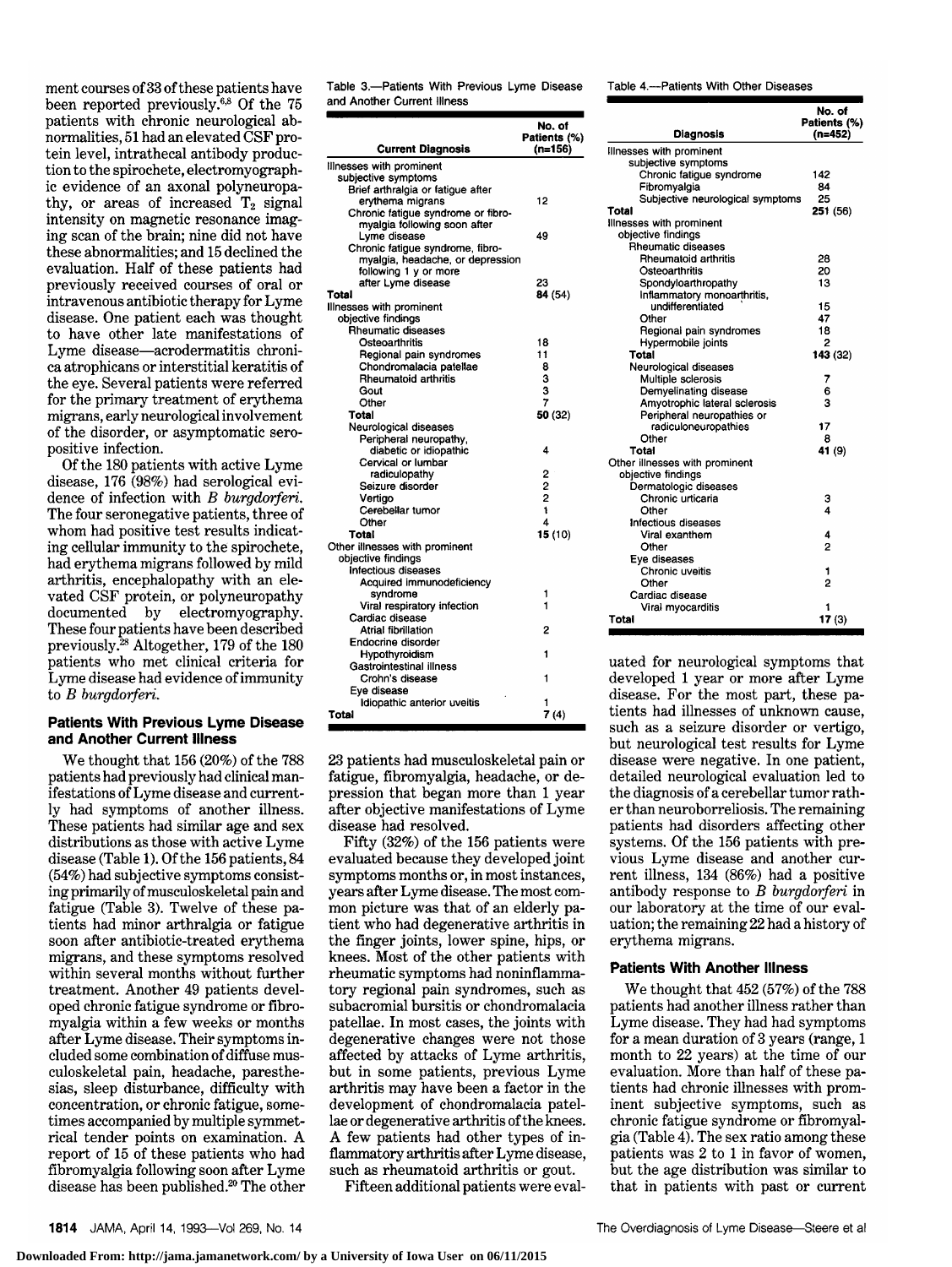ment courses of <sup>33</sup> ofthese patients have been reported previously.6·8 Of the <sup>75</sup> patients with chronic neurological abnormalities, <sup>51</sup> had an elevated CSF pro tein level, intrathecal antibody production to the spirochete, electromyographic evidence of an axonal polyneuropathy, or areas of increased  $T_2$  signal intensity on magnetic resonance imaging scan of the brain; nine did not have these abnormalities; and <sup>15</sup> declined the evaluation. Half of these patients had previously received courses of oral or intravenous antibiotic therapy for Lyme disease. One patient each was thought to have other late manifestations of Lyme disease—acrodermatitis chronica atrophicans or interstitial keratitis of the eye. Several patients were referred for the primary treatment of erythema migrans, early neurological involvement of the disorder, or asymptomatic seropositive infection.

Of the <sup>180</sup> patients with active Lyme disease, 176 (98%) had serological evidence of infection with  $B$  burgdorferi. The four seronegative patients, three of whom had positive test results indicating cellular immunity to the spirochete, had erythema migrans followed by mild arthritis, encephalopathy with an elevated CSF protein, or polyneuropathy<br>documented by electromyography. electromyography. These four patients have been described previously.28 Altogether, <sup>179</sup> of the <sup>180</sup> patients who met clinical criteria for Lyme disease had evidence of immunity to  $B$  burgdorferi.

#### Patients With Previous Lyme Disease and Another Current Illness

We thought that <sup>156</sup> (20%) of the <sup>788</sup> patients had previously had clinical man ifestations of Lyme disease and currently had symptoms of another illness. These patients had similar age and sex distributions as those with active Lyme disease (Table 1). Of the 156 patients, 84  $(54%)$  had subjective symptoms consisting primarily of musculoskeletal pain and fatigue (Table 3). Twelve of these patients had minor arthralgia or fatigue soon after antibiotic-treated erythema migrans, and these symptoms resolved within several months without further treatment. Another 49 patients developed chronic fatigue syndrome or fibromyalgia within <sup>a</sup> few weeks or months after Lyme disease. Their symptoms in cluded some combination of diffuse musculoskeletal pain, headache, paresthesias, sleep disturbance, difficulty with concentration, or chronic fatigue, sometimes accompanied by multiple symmetrical tender points on examination. A report of <sup>15</sup> of these patients who had fibromyalgia following soon after Lyme disease has been published.20 The other Table 3.—Patients With Previous Lyme Disease and Another Current Illness

| <b>Current Diagnosis</b>                             | No. of<br>Patients (%)<br>(n=156) |
|------------------------------------------------------|-----------------------------------|
| Illnesses with prominent                             |                                   |
| subjective symptoms                                  |                                   |
| Brief arthralgia or fatigue after                    |                                   |
| ervthema migrans                                     | 12                                |
| Chronic fatigue syndrome or fibro-                   |                                   |
| myalgia following soon after                         |                                   |
| Lyme disease                                         | 49                                |
| Chronic fatigue syndrome, fibro-                     |                                   |
| myalgia, headache, or depression                     |                                   |
| following 1 y or more                                |                                   |
| after Lyme disease                                   | 23                                |
| Total                                                | 84 (54)                           |
| Illnesses with prominent                             |                                   |
| objective findings                                   |                                   |
| Rheumatic diseases                                   |                                   |
| Osteoarthritis                                       | 18                                |
| Regional pain syndromes                              | 11                                |
| Chondromalacia patellae                              | 8                                 |
| Rheumatoid arthritis                                 | 3                                 |
| Gout                                                 | 3                                 |
| Other                                                | 7                                 |
| Total                                                | 50 (32)                           |
| Neurological diseases                                |                                   |
| Peripheral neuropathy,                               |                                   |
| diabetic or idiopathic                               | 4                                 |
| Cervical or lumbar                                   |                                   |
| radiculopathy                                        |                                   |
| Seizure disorder                                     | 2221                              |
| Vertigo                                              |                                   |
| Cerebellar tumor                                     | $\overline{4}$                    |
| Other                                                |                                   |
| <b>Total</b>                                         | 15 (10)                           |
| Other illnesses with prominent<br>objective findings |                                   |
| <b>Infectious diseases</b>                           |                                   |
| Acquired immunodeficiency                            |                                   |
| syndrome                                             | 1                                 |
| Viral respiratory infection                          | 1                                 |
| Cardiac disease                                      |                                   |
| Atrial fibrillation                                  | 2                                 |
| Endocrine disorder                                   |                                   |
| Hypothyroidism                                       | 1                                 |
| Gastrointestinal illness                             |                                   |
| Crohn's disease                                      | 1                                 |
| Eve disease                                          |                                   |
| Idiopathic anterior uveitis                          |                                   |
| Total                                                | 7(4)                              |

23 patients had musculoskeletal pain or fatigue, fibromyalgia, headache, or depression that began more than <sup>1</sup> year after objective manifestations of Lyme disease had resolved.

Fifty (32%) of the <sup>156</sup> patients were evaluated because they developed joint symptoms months or, in most instances, years after Lyme disease. The most com mon picture was that of an elderly patient who had degenerative arthritis in the finger joints, lower spine, hips, or knees. Most of the other patients with rheumatic symptoms had noninflammatory regional pain syndromes, such as subacromial bursitis or chondromalacia patellae. In most cases, the joints with degenerative changes were not those affected by attacks of Lyme arthritis, but in some patients, previous Lyme arthritis may have been <sup>a</sup> factor in the development of chondromalacia patellae or degenerative arthritis of the knees. A few patients had other types of in flammatory arthritis after Lyme disease, such as rheumatoid arthritis or gout.

Fifteen additional patients were eval-

Table 4.—Patients With Other Diseases

| Diagnosis                                        | No. of<br>Patients (%)<br>$(n=452)$ |
|--------------------------------------------------|-------------------------------------|
|                                                  |                                     |
| Illnesses with prominent                         |                                     |
| subjective symptoms                              |                                     |
| Chronic fatigue syndrome                         | 142                                 |
| Fibromyalgia<br>Subjective neurological symptoms | 84<br>25                            |
| Total                                            | 251 (56)                            |
| Illnesses with prominent                         |                                     |
| objective findings                               |                                     |
| Rheumatic diseases                               |                                     |
| Rheumatoid arthritis                             | 28                                  |
| Osteoarthritis                                   | 20                                  |
| Spondyloarthropathy                              | 13                                  |
| Inflammatory monoarthritis,                      |                                     |
| undifferentiated                                 | 15                                  |
| Other                                            | 47                                  |
| Regional pain syndromes                          | 18                                  |
| Hypermobile joints                               | 2                                   |
| Total                                            | 143 (32)                            |
| Neurological diseases                            |                                     |
| Multiple sclerosis                               | 7                                   |
| Demyelinating disease                            | 6                                   |
| Amyotrophic lateral sclerosis                    | 3                                   |
| Peripheral neuropathies or                       |                                     |
| radiculoneuropathies                             | 17                                  |
| Other                                            | 8                                   |
| Total                                            | 41 (9)                              |
| Other illnesses with prominent                   |                                     |
| objective findings                               |                                     |
| Dermatologic diseases                            |                                     |
| Chronic urticaria                                | з                                   |
| Other                                            | 4                                   |
| Infectious diseases                              |                                     |
| Viral exanthem                                   | 4                                   |
| Other                                            | 2                                   |
| Eve diseases                                     |                                     |
| Chronic uveitis                                  | 1                                   |
| Other                                            | 2                                   |
| Cardiac disease                                  |                                     |
| Viral myocarditis                                |                                     |
| Total                                            | 17(3)                               |

uated for neurological symptoms that developed <sup>1</sup> year or more after Lyme disease. For the most part, these pa tients had illnesses of unknown cause, such as <sup>a</sup> seizure disorder or vertigo, but neurological test results for Lyme disease were negative. In one patient, detailed neurological evaluation led to the diagnosis of a cerebellar tumor rather than neuroborreliosis. The remaining patients had disorders affecting other systems. Of the 156 patients with previous Lyme disease and another current illness, <sup>134</sup> (86%) had <sup>a</sup> positive antibody response to  $B$  burgdorferi in our laboratory at the time of our evaluation; the remaining <sup>22</sup> had <sup>a</sup> history of erythema migrans.

## Patients With Another Illness

We thought that <sup>452</sup> (57%) of the <sup>788</sup> patients had another illness rather than Lyme disease. They had had symptoms for <sup>a</sup> mean duration of <sup>3</sup> years (range, <sup>1</sup> month to <sup>22</sup> years) at the time of our evaluation. More than half of these pa tients had chronic illnesses with prom inent subjective symptoms, such as chronic fatigue syndrome or fibromyalgia (Table 4). The sex ratio among these patients was <sup>2</sup> to <sup>1</sup> in favor of women, but the age distribution was similar to that in patients with past or current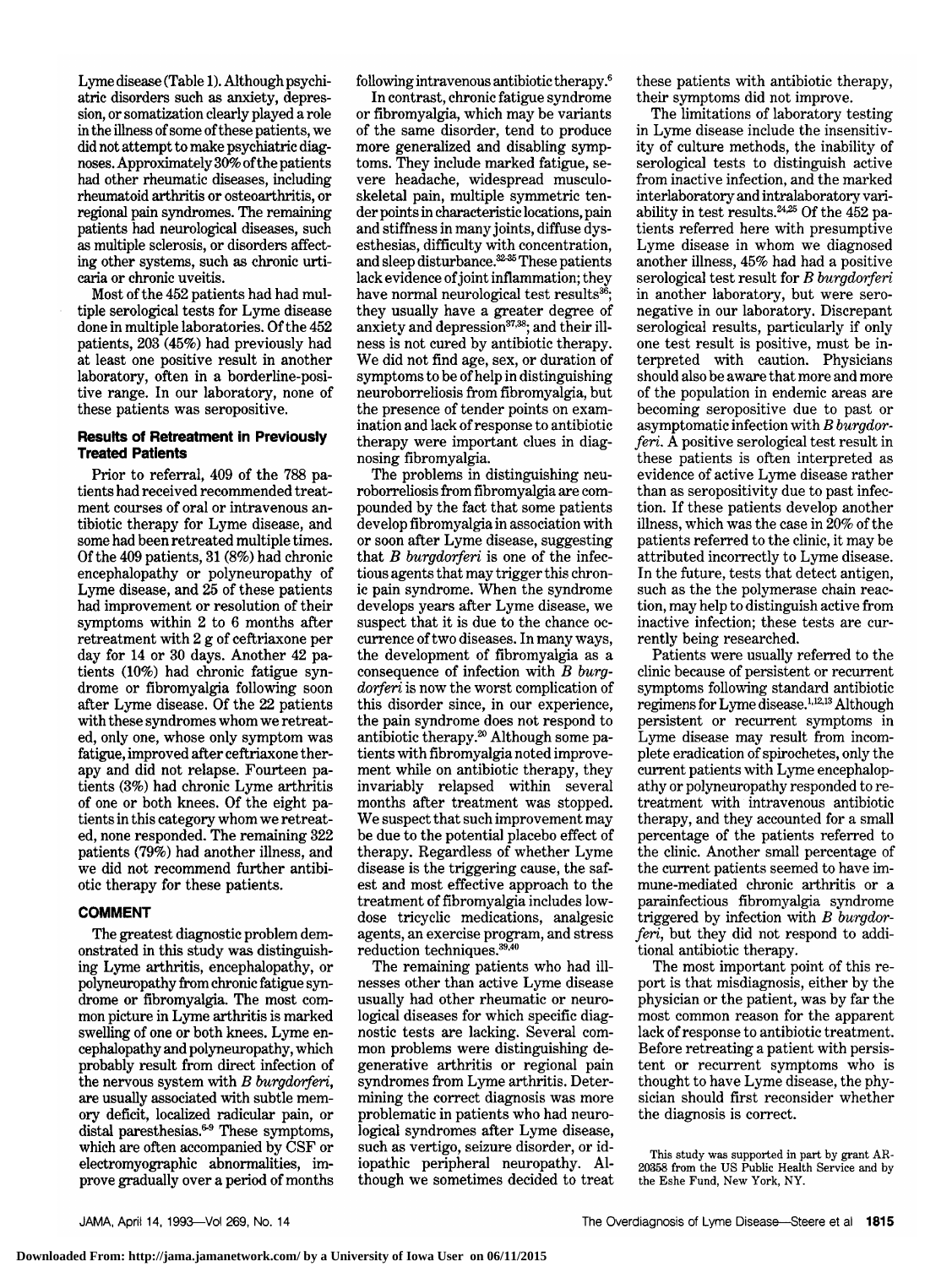Lyme disease (Table 1). Although psychiatric disorders such as anxiety, depression, or somatization clearly played <sup>a</sup> role in the illness of some of these patients, we did not attempt to make psychiatric diagnoses.Approximately 30% ofthe patients had other rheumatic diseases, including rheumatoid arthritis or osteoarthritis, or regional pain syndromes. The remaining patients had neurological diseases, such as multiple sclerosis, or disorders affecting other systems, such as chronic urticaria or chronic uveitis.

Most of the 452 patients had had multiple serological tests for Lyme disease done in multiple laboratories. Of the 452 patients, 203 (45%) had previously had at least one positive result in another laboratory, often in a borderline-positive range. In our laboratory, none of these patients was seropositive.

### Results of Retreatment in Previously Treated Patients

Prior to referral, 409 of the 788 patients had received recommended treatment courses of oral or intravenous an tibiotic therapy for Lyme disease, and some had been retreated multiple times. Of the 409 patients, <sup>31</sup> (8%) had chronic encephalopathy or polyneuropathy of Lyme disease, and <sup>25</sup> of these patients had improvement or resolution of their symptoms within <sup>2</sup> to <sup>6</sup> months after retreatment with <sup>2</sup> g of ceftriaxone per day for 14 or 30 days. Another 42 patients (10%) had chronic fatigue syn drome or fibromyalgia following soon after Lyme disease. Of the <sup>22</sup> patients with these syndromes whom we retreated, only one, whose only symptom was fatigue, improved after ceftriaxone therapy and did not relapse. Fourteen patients (3%) had chronic Lyme arthritis of one or both knees. Of the eight patients in this category whom we retreat ed, none responded. The remaining 322 patients (79%) had another illness, and we did not recommend further antibiotic therapy for these patients.

# COMMENT

The greatest diagnostic problem dem onstrated in this study was distinguishing Lyme arthritis, encephalopathy, or polyneuropathy from chronic fatigue syn drome or fibromyalgia. The most common picture in Lyme arthritis is marked swelling of one or both knees. Lyme en cephalopathy and polyneuropathy, which probably result from direct infection of the nervous system with  $B$  burgdorferi, are usually associated with subtle mem ory deficit, localized radicular pain, or distal paresthesias.<sup>6-9</sup> These symptoms, which are often accompanied by CSF or electromyographic abnormalities, im prove gradually over <sup>a</sup> period of months

following intravenous antibiotic therapy.6

In contrast, chronic fatigue syndrome or fibromyalgia, which may be variants of the same disorder, tend to produce more generalized and disabling symptoms. They include marked fatigue, severe headache, widespread musculoskeletal pain, multiple symmetric tender points in characteristic locations, pain and stiffness in many joints, diffuse dysesthesias, difficulty with concentration, and sleep disturbance.<sup>32-35</sup> These patients lack evidence of joint inflammation; they have normal neurological test results<sup>36</sup> they usually have <sup>a</sup> greater degree of anxiety and depression<sup>37,38</sup>; and their illness is not cured by antibiotic therapy. We did not find age, sex, or duration of symptoms to be of help in distinguishing neuroborreliosis from fibromyalgia, but the presence of tender points on examination and lack of response to antibiotic therapy were important clues in diagnosing fibromyalgia.

The problems in distinguishing neuroborreliosis from fibromyalgia are com pounded by the fact that some patients develop fibromyalgia in association with or soon after Lyme disease, suggesting that  $B$  burgdorferi is one of the infectious agents that may trigger this chronic pain syndrome. When the syndrome develops years after Lyme disease, we suspect that it is due to the chance occurrence oftwo diseases. In many ways, the development of fibromyalgia as <sup>a</sup> consequence of infection with  $B$  burgdorferi is now the worst complication of this disorder since, in our experience, the pain syndrome does not respond to antibiotic therapy.<sup>20</sup> Although some patients with fibromyalgia noted improvement while on antibiotic therapy, they invariably relapsed within several months after treatment was stopped. We suspect that such improvement may be due to the potential placebo effect of therapy. Regardless of whether Lyme disease is the triggering cause, the safest and most effective approach to the treatment of fibromyalgia includes lowdose tricyclic medications, analgesic agents, an exercise program, and stress reduction techniques.39,40

The remaining patients who had illnesses other than active Lyme disease usually had other rheumatic or neurological diseases for which specific diagnostic tests are lacking. Several com mon problems were distinguishing degenerative arthritis or regional pain syndromes from Lyme arthritis. Determining the correct diagnosis was more problematic in patients who had neurological syndromes after Lyme disease, such as vertigo, seizure disorder, or idiopathic peripheral neuropathy. Although we sometimes decided to treat

these patients with antibiotic therapy, their symptoms did not improve.

The limitations of laboratory testing in Lyme disease include the insensitivity of culture methods, the inability of serological tests to distinguish active from inactive infection, and the marked interlaboratory and intralaboratory variability in test results.<sup>24,25</sup> Of the  $452$  patients referred here with presumptive Lyme disease in whom we diagnosed another illness, 45% had had a positive serological test result for  $B$  burgdorferi in another laboratory, but were seronegative in our laboratory. Discrepant serological results, particularly if only one test result is positive, must be in terpreted with caution. Physicians should also be aware that more and more of the population in endemic areas are becoming seropositive due to past or asymptomatic infection with  $B \, burgdor$ feri. A positive serological test result in these patients is often interpreted as evidence of active Lyme disease rather than as seropositivity due to past infec tion. If these patients develop another illness, which was the case in 20% of the patients referred to the clinic, it may be attributed incorrectly to Lyme disease. In the future, tests that detect antigen, such as the the polymerase chain reaction, may help to distinguish active from inactive infection; these tests are currently being researched.

Patients were usually referred to the clinic because of persistent or recurrent symptoms following standard antibiotic regimens for Lyme disease.1·12·13 Although persistent or recurrent symptoms in Lyme disease may result from incomplete eradication of spirochetes, only the current patients with Lyme encephalopathy or polyneuropathy responded to retreatment with intravenous antibiotic therapy, and they accounted for <sup>a</sup> small percentage of the patients referred to the clinic. Another small percentage of the current patients seemed to have im mune-mediated chronic arthritis or a parainfectious fibromyalgia syndrome triggered by infection with  $B$  burgdorferi, but they did not respond to additional antibiotic therapy.

The most important point of this report is that misdiagnosis, either by the physician or the patient, was by far the most common reason for the apparent lack of response to antibiotic treatment. Before retreating <sup>a</sup> patient with persis tent or recurrent symptoms who is thought to have Lyme disease, the physician should first reconsider whether the diagnosis is correct.

This study was supported in part by grant AR-20358 from the US Public Health Service and by the Eshe Fund, New York, NY.